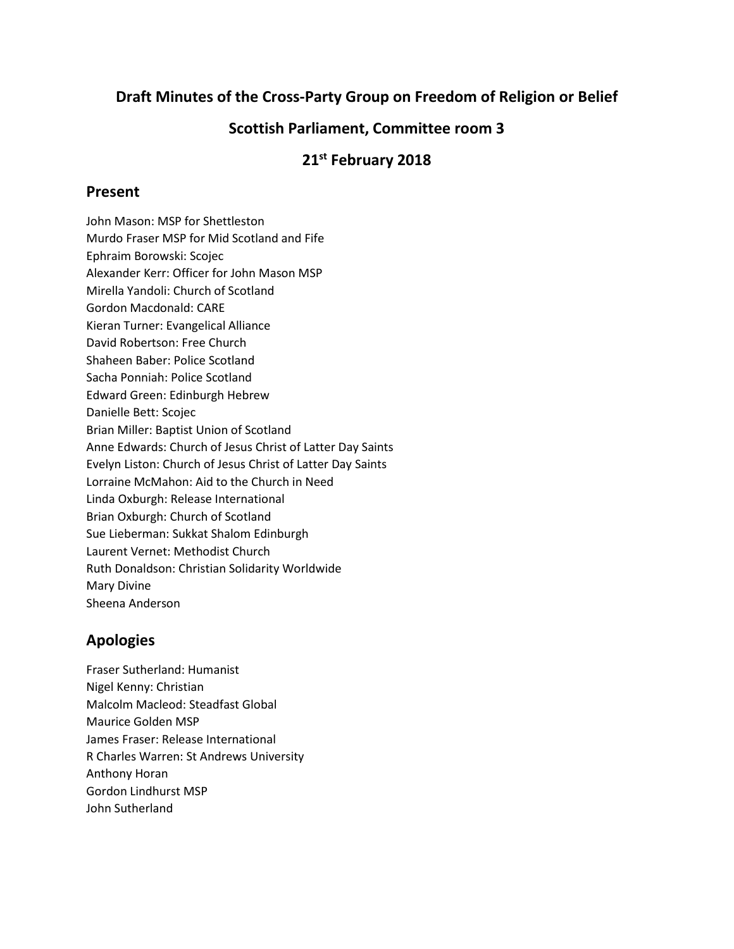## **Draft Minutes of the Cross-Party Group on Freedom of Religion or Belief**

### **Scottish Parliament, Committee room 3**

# **21 st February 2018**

#### **Present**

John Mason: MSP for Shettleston Murdo Fraser MSP for Mid Scotland and Fife Ephraim Borowski: Scojec Alexander Kerr: Officer for John Mason MSP Mirella Yandoli: Church of Scotland Gordon Macdonald: CARE Kieran Turner: Evangelical Alliance David Robertson: Free Church Shaheen Baber: Police Scotland Sacha Ponniah: Police Scotland Edward Green: Edinburgh Hebrew Danielle Bett: Scojec Brian Miller: Baptist Union of Scotland Anne Edwards: Church of Jesus Christ of Latter Day Saints Evelyn Liston: Church of Jesus Christ of Latter Day Saints Lorraine McMahon: Aid to the Church in Need Linda Oxburgh: Release International Brian Oxburgh: Church of Scotland Sue Lieberman: Sukkat Shalom Edinburgh Laurent Vernet: Methodist Church Ruth Donaldson: Christian Solidarity Worldwide Mary Divine Sheena Anderson

# **Apologies**

Fraser Sutherland: Humanist Nigel Kenny: Christian Malcolm Macleod: Steadfast Global Maurice Golden MSP James Fraser: Release International R Charles Warren: St Andrews University Anthony Horan Gordon Lindhurst MSP John Sutherland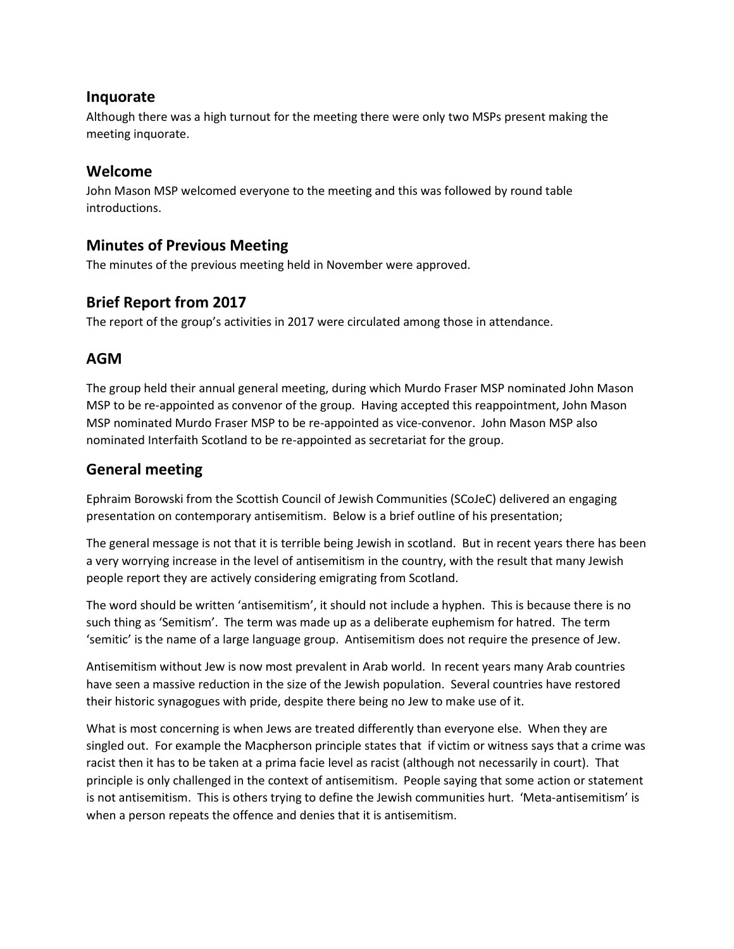#### **Inquorate**

Although there was a high turnout for the meeting there were only two MSPs present making the meeting inquorate.

#### **Welcome**

John Mason MSP welcomed everyone to the meeting and this was followed by round table introductions.

### **Minutes of Previous Meeting**

The minutes of the previous meeting held in November were approved.

## **Brief Report from 2017**

The report of the group's activities in 2017 were circulated among those in attendance.

### **AGM**

The group held their annual general meeting, during which Murdo Fraser MSP nominated John Mason MSP to be re-appointed as convenor of the group. Having accepted this reappointment, John Mason MSP nominated Murdo Fraser MSP to be re-appointed as vice-convenor. John Mason MSP also nominated Interfaith Scotland to be re-appointed as secretariat for the group.

## **General meeting**

Ephraim Borowski from the Scottish Council of Jewish Communities (SCoJeC) delivered an engaging presentation on contemporary antisemitism. Below is a brief outline of his presentation;

The general message is not that it is terrible being Jewish in scotland. But in recent years there has been a very worrying increase in the level of antisemitism in the country, with the result that many Jewish people report they are actively considering emigrating from Scotland.

The word should be written 'antisemitism', it should not include a hyphen. This is because there is no such thing as 'Semitism'. The term was made up as a deliberate euphemism for hatred. The term 'semitic' is the name of a large language group. Antisemitism does not require the presence of Jew.

Antisemitism without Jew is now most prevalent in Arab world. In recent years many Arab countries have seen a massive reduction in the size of the Jewish population. Several countries have restored their historic synagogues with pride, despite there being no Jew to make use of it.

What is most concerning is when Jews are treated differently than everyone else. When they are singled out. For example the Macpherson principle states that if victim or witness says that a crime was racist then it has to be taken at a prima facie level as racist (although not necessarily in court). That principle is only challenged in the context of antisemitism. People saying that some action or statement is not antisemitism. This is others trying to define the Jewish communities hurt. 'Meta-antisemitism' is when a person repeats the offence and denies that it is antisemitism.